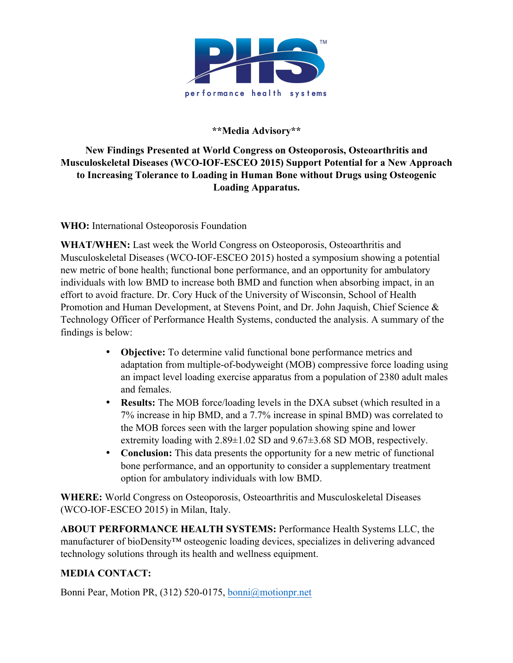

**\*\*Media Advisory\*\***

## **New Findings Presented at World Congress on Osteoporosis, Osteoarthritis and Musculoskeletal Diseases (WCO-IOF-ESCEO 2015) Support Potential for a New Approach to Increasing Tolerance to Loading in Human Bone without Drugs using Osteogenic Loading Apparatus.**

**WHO:** International Osteoporosis Foundation

**WHAT/WHEN:** Last week the World Congress on Osteoporosis, Osteoarthritis and Musculoskeletal Diseases (WCO-IOF-ESCEO 2015) hosted a symposium showing a potential new metric of bone health; functional bone performance, and an opportunity for ambulatory individuals with low BMD to increase both BMD and function when absorbing impact, in an effort to avoid fracture. Dr. Cory Huck of the University of Wisconsin, School of Health Promotion and Human Development, at Stevens Point, and Dr. John Jaquish, Chief Science & Technology Officer of Performance Health Systems, conducted the analysis. A summary of the findings is below:

- **Objective:** To determine valid functional bone performance metrics and adaptation from multiple-of-bodyweight (MOB) compressive force loading using an impact level loading exercise apparatus from a population of 2380 adult males and females.
- **Results:** The MOB force/loading levels in the DXA subset (which resulted in a 7% increase in hip BMD, and a 7.7% increase in spinal BMD) was correlated to the MOB forces seen with the larger population showing spine and lower extremity loading with 2.89±1.02 SD and 9.67±3.68 SD MOB, respectively.
- **Conclusion:** This data presents the opportunity for a new metric of functional bone performance, and an opportunity to consider a supplementary treatment option for ambulatory individuals with low BMD.

**WHERE:** World Congress on Osteoporosis, Osteoarthritis and Musculoskeletal Diseases (WCO-IOF-ESCEO 2015) in Milan, Italy.

**ABOUT PERFORMANCE HEALTH SYSTEMS:** Performance Health Systems LLC, the manufacturer of bioDensity™ osteogenic loading devices, specializes in delivering advanced technology solutions through its health and wellness equipment.

## **MEDIA CONTACT:**

Bonni Pear, Motion PR, (312) 520-0175, bonni@motionpr.net